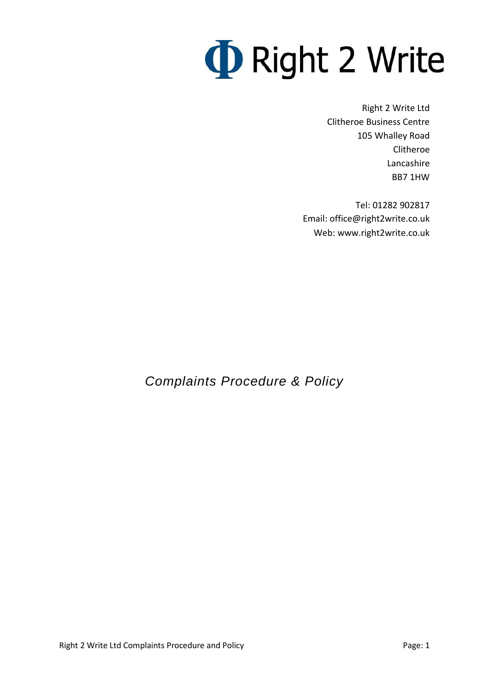# **D** Right 2 Write

Right 2 Write Ltd Clitheroe Business Centre 105 Whalley Road Clitheroe Lancashire BB7 1HW

Tel: 01282 902817 Email: office@right2write.co.uk Web: www.right2write.co.uk

*Complaints Procedure & Policy*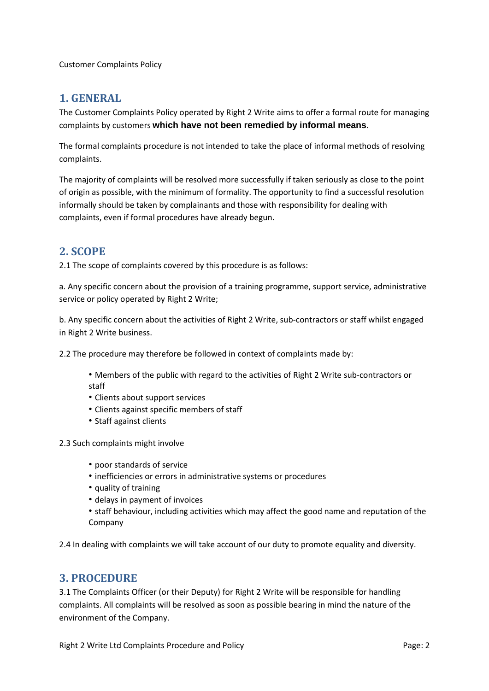Customer Complaints Policy

#### **1. GENERAL**

The Customer Complaints Policy operated by Right 2 Write aims to offer a formal route for managing complaints by customers **which have not been remedied by informal means**.

The formal complaints procedure is not intended to take the place of informal methods of resolving complaints.

The majority of complaints will be resolved more successfully if taken seriously as close to the point of origin as possible, with the minimum of formality. The opportunity to find a successful resolution informally should be taken by complainants and those with responsibility for dealing with complaints, even if formal procedures have already begun.

#### **2. SCOPE**

2.1 The scope of complaints covered by this procedure is as follows:

a. Any specific concern about the provision of a training programme, support service, administrative service or policy operated by Right 2 Write;

b. Any specific concern about the activities of Right 2 Write, sub-contractors or staff whilst engaged in Right 2 Write business.

2.2 The procedure may therefore be followed in context of complaints made by:

- Members of the public with regard to the activities of Right 2 Write sub-contractors or staff
- Clients about support services
- Clients against specific members of staff
- Staff against clients

2.3 Such complaints might involve

- poor standards of service
- inefficiencies or errors in administrative systems or procedures
- quality of training
- delays in payment of invoices
- staff behaviour, including activities which may affect the good name and reputation of the Company

2.4 In dealing with complaints we will take account of our duty to promote equality and diversity.

#### **3. PROCEDURE**

3.1 The Complaints Officer (or their Deputy) for Right 2 Write will be responsible for handling complaints. All complaints will be resolved as soon as possible bearing in mind the nature of the environment of the Company.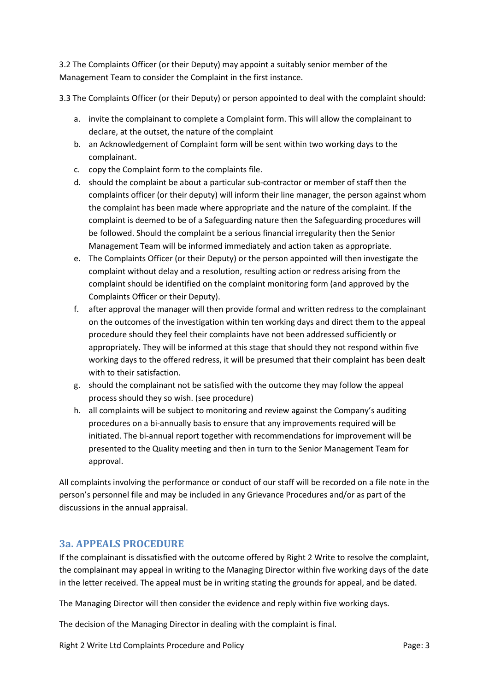3.2 The Complaints Officer (or their Deputy) may appoint a suitably senior member of the Management Team to consider the Complaint in the first instance.

3.3 The Complaints Officer (or their Deputy) or person appointed to deal with the complaint should:

- a. invite the complainant to complete a Complaint form. This will allow the complainant to declare, at the outset, the nature of the complaint
- b. an Acknowledgement of Complaint form will be sent within two working days to the complainant.
- c. copy the Complaint form to the complaints file.
- d. should the complaint be about a particular sub-contractor or member of staff then the complaints officer (or their deputy) will inform their line manager, the person against whom the complaint has been made where appropriate and the nature of the complaint. If the complaint is deemed to be of a Safeguarding nature then the Safeguarding procedures will be followed. Should the complaint be a serious financial irregularity then the Senior Management Team will be informed immediately and action taken as appropriate.
- e. The Complaints Officer (or their Deputy) or the person appointed will then investigate the complaint without delay and a resolution, resulting action or redress arising from the complaint should be identified on the complaint monitoring form (and approved by the Complaints Officer or their Deputy).
- f. after approval the manager will then provide formal and written redress to the complainant on the outcomes of the investigation within ten working days and direct them to the appeal procedure should they feel their complaints have not been addressed sufficiently or appropriately. They will be informed at this stage that should they not respond within five working days to the offered redress, it will be presumed that their complaint has been dealt with to their satisfaction.
- g. should the complainant not be satisfied with the outcome they may follow the appeal process should they so wish. (see procedure)
- h. all complaints will be subject to monitoring and review against the Company's auditing procedures on a bi-annually basis to ensure that any improvements required will be initiated. The bi-annual report together with recommendations for improvement will be presented to the Quality meeting and then in turn to the Senior Management Team for approval.

All complaints involving the performance or conduct of our staff will be recorded on a file note in the person's personnel file and may be included in any Grievance Procedures and/or as part of the discussions in the annual appraisal.

#### **3a. APPEALS PROCEDURE**

If the complainant is dissatisfied with the outcome offered by Right 2 Write to resolve the complaint, the complainant may appeal in writing to the Managing Director within five working days of the date in the letter received. The appeal must be in writing stating the grounds for appeal, and be dated.

The Managing Director will then consider the evidence and reply within five working days.

The decision of the Managing Director in dealing with the complaint is final.

Right 2 Write Ltd Complaints Procedure and Policy **Page: 3** Page: 3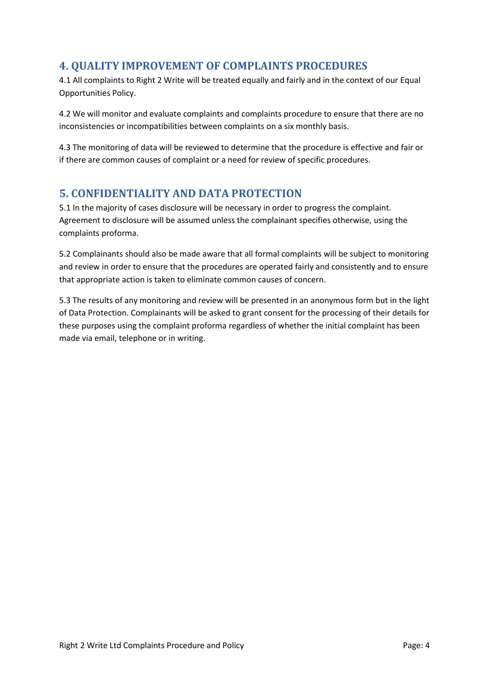#### **4. QUALITY IMPROVEMENT OF COMPLAINTS PROCEDURES**

4.1 All complaints to Right 2 Write will be treated equally and fairly and in the context of our Equal Opportunities Policy.

4.2 We will monitor and evaluate complaints and complaints procedure to ensure that there are no inconsistencies or incompatibilities between complaints on a six monthly basis.

4.3 The monitoring of data will be reviewed to determine that the procedure is effective and fair or if there are common causes of complaint or a need for review of specific procedures.

#### **5. CONFIDENTIALITY AND DATA PROTECTION**

5.1 In the majority of cases disclosure will be necessary in order to progress the complaint. Agreement to disclosure will be assumed unless the complainant specifies otherwise, using the complaints proforma.

5.2 Complainants should also be made aware that all formal complaints will be subject to monitoring and review in order to ensure that the procedures are operated fairly and consistently and to ensure that appropriate action is taken to eliminate common causes of concern.

5.3 The results of any monitoring and review will be presented in an anonymous form but in the light of Data Protection. Complainants will be asked to grant consent for the processing of their details for these purposes using the complaint proforma regardless of whether the initial complaint has been made via email, telephone or in writing.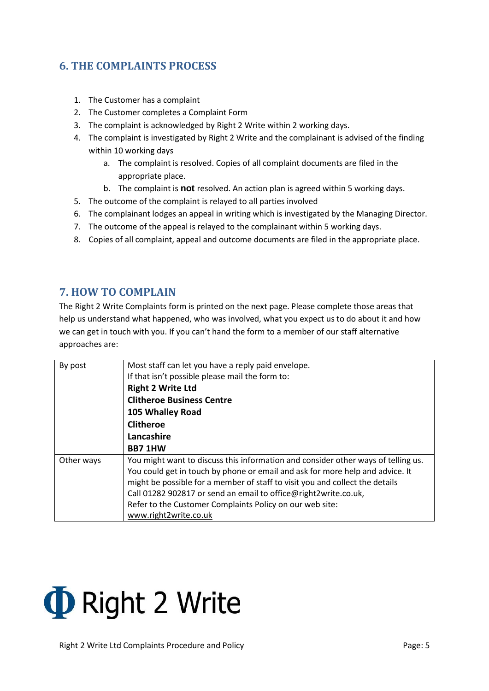### **6. THE COMPLAINTS PROCESS**

- 1. The Customer has a complaint
- 2. The Customer completes a Complaint Form
- 3. The complaint is acknowledged by Right 2 Write within 2 working days.
- 4. The complaint is investigated by Right 2 Write and the complainant is advised of the finding within 10 working days
	- a. The complaint is resolved. Copies of all complaint documents are filed in the appropriate place.
	- b. The complaint is **not** resolved. An action plan is agreed within 5 working days.
- 5. The outcome of the complaint is relayed to all parties involved
- 6. The complainant lodges an appeal in writing which is investigated by the Managing Director.
- 7. The outcome of the appeal is relayed to the complainant within 5 working days.
- 8. Copies of all complaint, appeal and outcome documents are filed in the appropriate place.

#### **7. HOW TO COMPLAIN**

The Right 2 Write Complaints form is printed on the next page. Please complete those areas that help us understand what happened, who was involved, what you expect us to do about it and how we can get in touch with you. If you can't hand the form to a member of our staff alternative approaches are:

| By post    | Most staff can let you have a reply paid envelope.                                |  |  |  |
|------------|-----------------------------------------------------------------------------------|--|--|--|
|            | If that isn't possible please mail the form to:                                   |  |  |  |
|            | <b>Right 2 Write Ltd</b>                                                          |  |  |  |
|            | <b>Clitheroe Business Centre</b>                                                  |  |  |  |
|            | 105 Whalley Road                                                                  |  |  |  |
|            | <b>Clitheroe</b>                                                                  |  |  |  |
|            | Lancashire                                                                        |  |  |  |
|            | <b>BB7 1HW</b>                                                                    |  |  |  |
| Other ways | You might want to discuss this information and consider other ways of telling us. |  |  |  |
|            | You could get in touch by phone or email and ask for more help and advice. It     |  |  |  |
|            | might be possible for a member of staff to visit you and collect the details      |  |  |  |
|            | Call 01282 902817 or send an email to office@right2write.co.uk,                   |  |  |  |
|            | Refer to the Customer Complaints Policy on our web site:                          |  |  |  |
|            | www.right2write.co.uk                                                             |  |  |  |

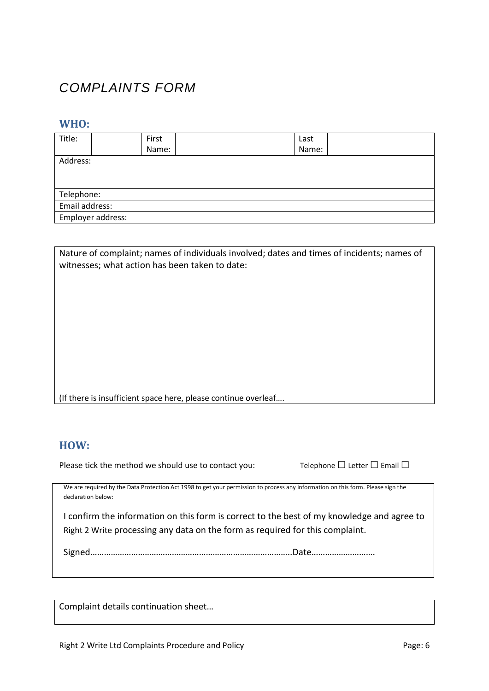## *COMPLAINTS FORM*

#### **WHO:**

| Title:            | First | Last  |  |  |  |
|-------------------|-------|-------|--|--|--|
|                   | Name: | Name: |  |  |  |
| Address:          |       |       |  |  |  |
|                   |       |       |  |  |  |
|                   |       |       |  |  |  |
| Telephone:        |       |       |  |  |  |
| Email address:    |       |       |  |  |  |
| Employer address: |       |       |  |  |  |

| Nature of complaint; names of individuals involved; dates and times of incidents; names of<br>witnesses; what action has been taken to date: |
|----------------------------------------------------------------------------------------------------------------------------------------------|
|                                                                                                                                              |
|                                                                                                                                              |
|                                                                                                                                              |
|                                                                                                                                              |
| (If there is insufficient space here, please continue overleaf                                                                               |

**HOW:**

Please tick the method we should use to contact you: Telephone  $\Box$  Letter  $\Box$  Email  $\Box$ 

We are required by the Data Protection Act 1998 to get your permission to process any information on this form. Please sign the declaration below:

I confirm the information on this form is correct to the best of my knowledge and agree to Right 2 Write processing any data on the form as required for this complaint.

Signed……………………………………………………………………………..Date……………………….

Complaint details continuation sheet…